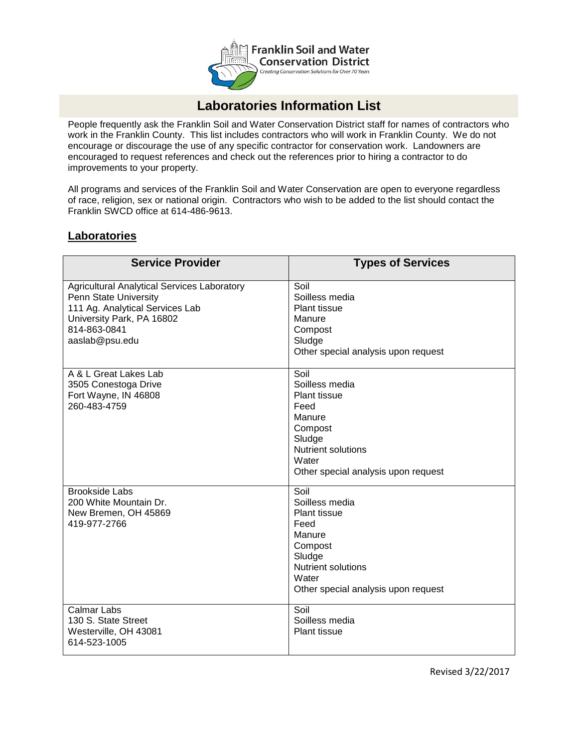

## **Laboratories Information List**

People frequently ask the Franklin Soil and Water Conservation District staff for names of contractors who work in the Franklin County. This list includes contractors who will work in Franklin County. We do not encourage or discourage the use of any specific contractor for conservation work. Landowners are encouraged to request references and check out the references prior to hiring a contractor to do improvements to your property.

All programs and services of the Franklin Soil and Water Conservation are open to everyone regardless of race, religion, sex or national origin. Contractors who wish to be added to the list should contact the Franklin SWCD office at 614-486-9613.

## **Laboratories**

| <b>Service Provider</b>                                                                                                                                                       | <b>Types of Services</b>                                                                                                                                          |
|-------------------------------------------------------------------------------------------------------------------------------------------------------------------------------|-------------------------------------------------------------------------------------------------------------------------------------------------------------------|
| <b>Agricultural Analytical Services Laboratory</b><br>Penn State University<br>111 Ag. Analytical Services Lab<br>University Park, PA 16802<br>814-863-0841<br>aaslab@psu.edu | Soil<br>Soilless media<br>Plant tissue<br>Manure<br>Compost<br>Sludge<br>Other special analysis upon request                                                      |
| A & L Great Lakes Lab<br>3505 Conestoga Drive<br>Fort Wayne, IN 46808<br>260-483-4759                                                                                         | Soil<br>Soilless media<br><b>Plant tissue</b><br>Feed<br>Manure<br>Compost<br>Sludge<br><b>Nutrient solutions</b><br>Water<br>Other special analysis upon request |
| <b>Brookside Labs</b><br>200 White Mountain Dr.<br>New Bremen, OH 45869<br>419-977-2766                                                                                       | Soil<br>Soilless media<br><b>Plant tissue</b><br>Feed<br>Manure<br>Compost<br>Sludge<br><b>Nutrient solutions</b><br>Water<br>Other special analysis upon request |
| <b>Calmar Labs</b><br>130 S. State Street<br>Westerville, OH 43081<br>614-523-1005                                                                                            | Soil<br>Soilless media<br><b>Plant tissue</b>                                                                                                                     |

Revised 3/22/2017